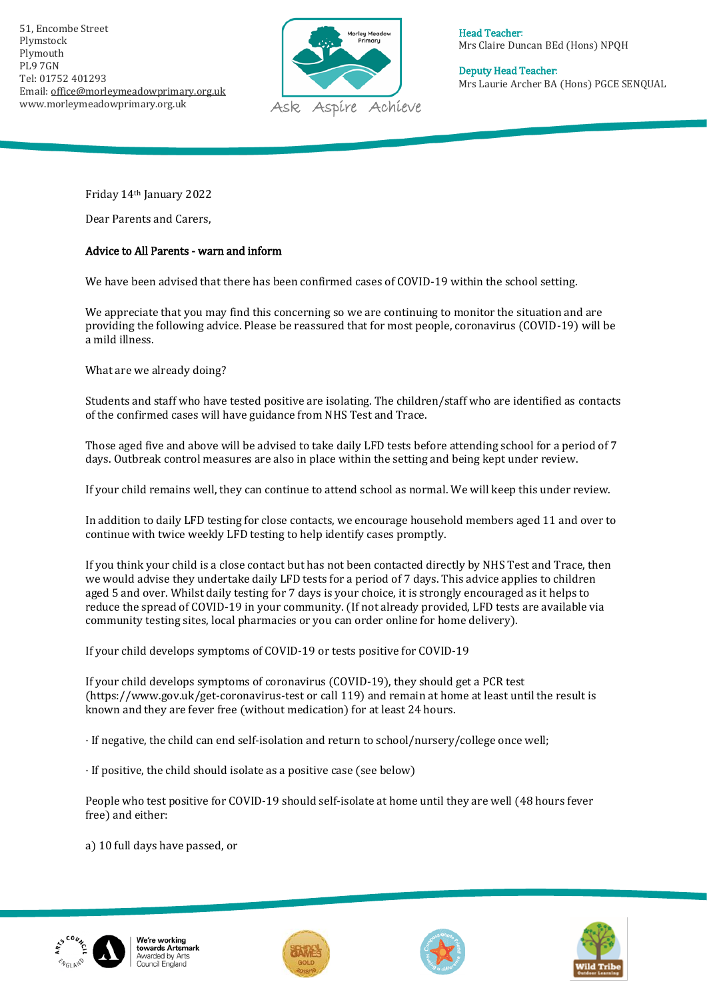51, Encombe Street Plymstock Plymouth PL9 7GN Tel: 01752 401293 Email[: office@morleymeadowprimary.org.uk](mailto:office@morleymeadowprimary.org.uk) www.morleymeadowprimary.org.uk



Head Teacher: Mrs Claire Duncan BEd (Hons) NPQH

Deputy Head Teacher: Mrs Laurie Archer BA (Hons) PGCE SENQUAL

Friday 14th January 2022

Dear Parents and Carers,

## Advice to All Parents - warn and inform

We have been advised that there has been confirmed cases of COVID-19 within the school setting.

We appreciate that you may find this concerning so we are continuing to monitor the situation and are providing the following advice. Please be reassured that for most people, coronavirus (COVID-19) will be a mild illness.

What are we already doing?

Students and staff who have tested positive are isolating. The children/staff who are identified as contacts of the confirmed cases will have guidance from NHS Test and Trace.

Those aged five and above will be advised to take daily LFD tests before attending school for a period of 7 days. Outbreak control measures are also in place within the setting and being kept under review.

If your child remains well, they can continue to attend school as normal. We will keep this under review.

In addition to daily LFD testing for close contacts, we encourage household members aged 11 and over to continue with twice weekly LFD testing to help identify cases promptly.

If you think your child is a close contact but has not been contacted directly by NHS Test and Trace, then we would advise they undertake daily LFD tests for a period of 7 days. This advice applies to children aged 5 and over. Whilst daily testing for 7 days is your choice, it is strongly encouraged as it helps to reduce the spread of COVID-19 in your community. (If not already provided, LFD tests are available via community testing sites, local pharmacies or you can order online for home delivery).

If your child develops symptoms of COVID-19 or tests positive for COVID-19

If your child develops symptoms of coronavirus (COVID-19), they should get a PCR test (https://www.gov.uk/get-coronavirus-test or call 119) and remain at home at least until the result is known and they are fever free (without medication) for at least 24 hours.

· If negative, the child can end self-isolation and return to school/nursery/college once well;

· If positive, the child should isolate as a positive case (see below)

People who test positive for COVID-19 should self-isolate at home until they are well (48 hours fever free) and either:

a) 10 full days have passed, or



We're working towards Artsmark Awarded by Arts<br>Council England





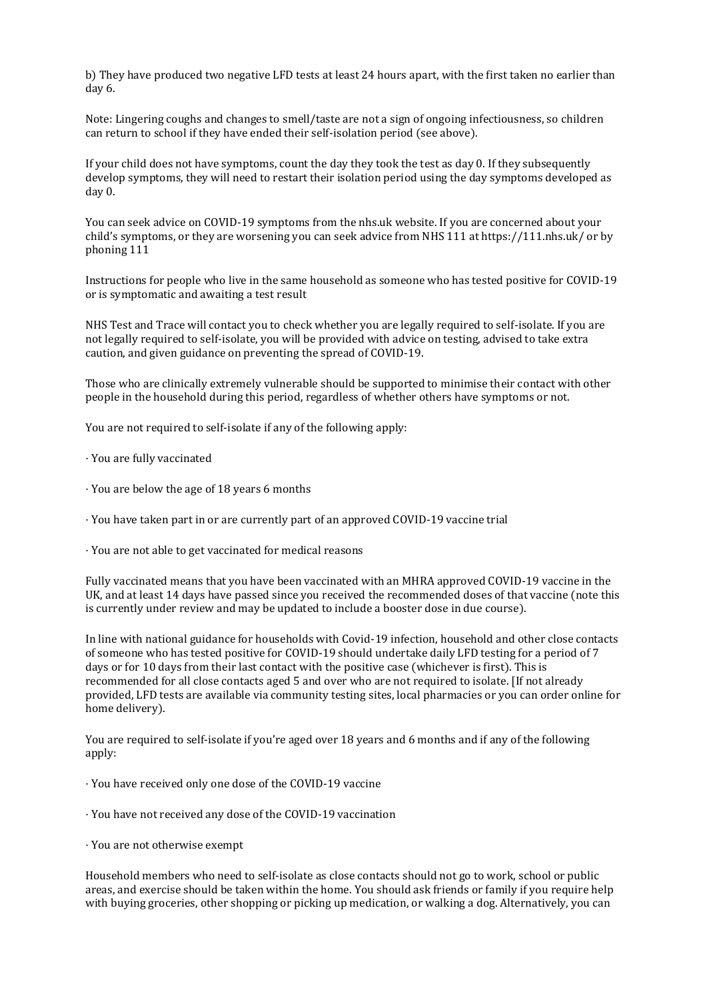b) They have produced two negative LFD tests at least 24 hours apart, with the first taken no earlier than day 6.

Note: Lingering coughs and changes to smell/taste are not a sign of ongoing infectiousness, so children can return to school if they have ended their self-isolation period (see above).

If your child does not have symptoms, count the day they took the test as day 0. If they subsequently develop symptoms, they will need to restart their isolation period using the day symptoms developed as day 0.

You can seek advice on COVID-19 symptoms from the nhs.uk website. If you are concerned about your child's symptoms, or they are worsening you can seek advice from NHS 111 at https://111.nhs.uk/ or by phoning 111

Instructions for people who live in the same household as someone who has tested positive for COVID-19 or is symptomatic and awaiting a test result

NHS Test and Trace will contact you to check whether you are legally required to self-isolate. If you are not legally required to self-isolate, you will be provided with advice on testing, advised to take extra caution, and given guidance on preventing the spread of COVID-19.

Those who are clinically extremely vulnerable should be supported to minimise their contact with other people in the household during this period, regardless of whether others have symptoms or not.

You are not required to self-isolate if any of the following apply:

· You are fully vaccinated

- · You are below the age of 18 years 6 months
- · You have taken part in or are currently part of an approved COVID-19 vaccine trial
- · You are not able to get vaccinated for medical reasons

Fully vaccinated means that you have been vaccinated with an MHRA approved COVID-19 vaccine in the UK, and at least 14 days have passed since you received the recommended doses of that vaccine (note this is currently under review and may be updated to include a booster dose in due course).

In line with national guidance for households with Covid-19 infection, household and other close contacts of someone who has tested positive for COVID-19 should undertake daily LFD testing for a period of 7 days or for 10 days from their last contact with the positive case (whichever is first). This is recommended for all close contacts aged 5 and over who are not required to isolate. [If not already provided, LFD tests are available via community testing sites, local pharmacies or you can order online for home delivery).

You are required to self-isolate if you're aged over 18 years and 6 months and if any of the following apply:

- · You have received only one dose of the COVID-19 vaccine
- · You have not received any dose of the COVID-19 vaccination
- · You are not otherwise exempt

Household members who need to self-isolate as close contacts should not go to work, school or public areas, and exercise should be taken within the home. You should ask friends or family if you require help with buying groceries, other shopping or picking up medication, or walking a dog. Alternatively, you can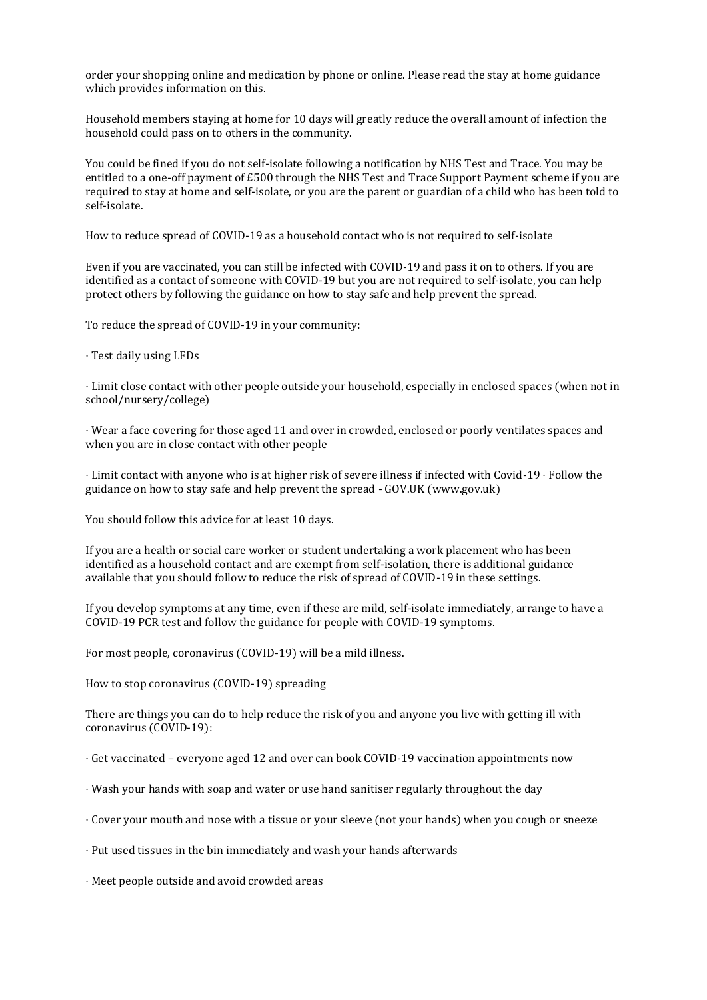order your shopping online and medication by phone or online. Please read the stay at home guidance which provides information on this.

Household members staying at home for 10 days will greatly reduce the overall amount of infection the household could pass on to others in the community.

You could be fined if you do not self-isolate following a notification by NHS Test and Trace. You may be entitled to a one-off payment of £500 through the NHS Test and Trace Support Payment scheme if you are required to stay at home and self-isolate, or you are the parent or guardian of a child who has been told to self-isolate.

How to reduce spread of COVID-19 as a household contact who is not required to self-isolate

Even if you are vaccinated, you can still be infected with COVID-19 and pass it on to others. If you are identified as a contact of someone with COVID-19 but you are not required to self-isolate, you can help protect others by following the guidance on how to stay safe and help prevent the spread.

To reduce the spread of COVID-19 in your community:

· Test daily using LFDs

· Limit close contact with other people outside your household, especially in enclosed spaces (when not in school/nursery/college)

· Wear a face covering for those aged 11 and over in crowded, enclosed or poorly ventilates spaces and when you are in close contact with other people

· Limit contact with anyone who is at higher risk of severe illness if infected with Covid-19 · Follow the guidance on how to stay safe and help prevent the spread - GOV.UK (www.gov.uk)

You should follow this advice for at least 10 days.

If you are a health or social care worker or student undertaking a work placement who has been identified as a household contact and are exempt from self-isolation, there is additional guidance available that you should follow to reduce the risk of spread of COVID-19 in these settings.

If you develop symptoms at any time, even if these are mild, self-isolate immediately, arrange to have a COVID-19 PCR test and follow the guidance for people with COVID-19 symptoms.

For most people, coronavirus (COVID-19) will be a mild illness.

How to stop coronavirus (COVID-19) spreading

There are things you can do to help reduce the risk of you and anyone you live with getting ill with coronavirus (COVID-19):

· Get vaccinated – everyone aged 12 and over can book COVID-19 vaccination appointments now

- · Wash your hands with soap and water or use hand sanitiser regularly throughout the day
- · Cover your mouth and nose with a tissue or your sleeve (not your hands) when you cough or sneeze
- · Put used tissues in the bin immediately and wash your hands afterwards

· Meet people outside and avoid crowded areas